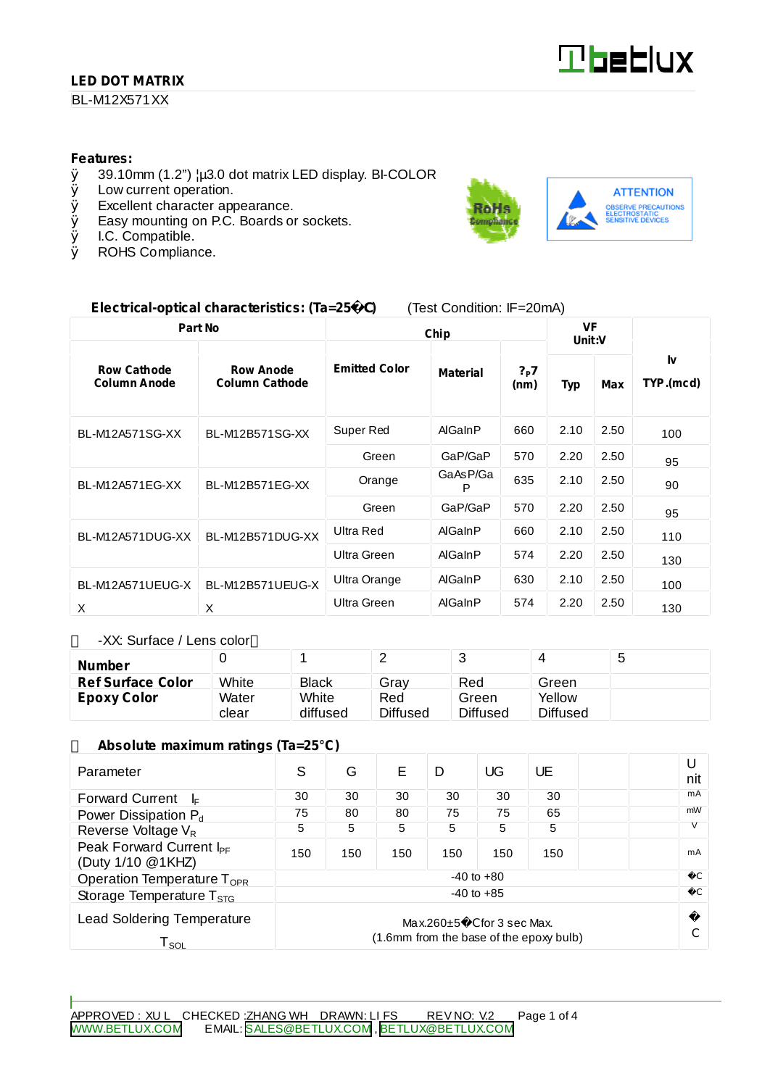## **LED DOT MATRIX**

#### BL-M12X571XX

#### **Features:**

- $\emptyset$  39.10mm (1.2")  $\mu$ 3.0 dot matrix LED display. BI-COLOR <br> $\emptyset$  Low current operation.
- Low current operation.
- Ø Excellent character appearance.
- $\emptyset$  Easy mounting on P.C. Boards or sockets.<br> $\emptyset$  I.C. Compatible.
- Ø I.C. Compatible.<br>Ø ROHS Complian
- ROHS Compliance.



#### **Electrical-optical characteristics: (Ta=25** C**)** (Test Condition: IF=20mA)

| Part No                                   |                                           | Chip                 |                 |             | <b>VF</b><br>Unit:V |      |                 |
|-------------------------------------------|-------------------------------------------|----------------------|-----------------|-------------|---------------------|------|-----------------|
| <b>Row Cathode</b><br><b>Column Anode</b> | <b>Row Anode</b><br><b>Column Cathode</b> | <b>Emitted Color</b> | <b>Material</b> | ?P7<br>(nm) | <b>Typ</b>          | Max  | I٧<br>TYP.(mcd) |
| BL-M12A571SG-XX                           | BL-M12B571SG-XX                           | Super Red            | AlGaInP         | 660         | 2.10                | 2.50 | 100             |
|                                           |                                           | Green                | GaP/GaP         | 570         | 2.20                | 2.50 | 95              |
| BL-M12A571EG-XX                           | BL-M12B571EG-XX                           | Orange               | GaAsP/Ga<br>P   | 635         | 2.10                | 2.50 | 90              |
|                                           |                                           | Green                | GaP/GaP         | 570         | 2.20                | 2.50 | 95              |
| BL-M12A571DUG-XX                          | BL-M12B571DUG-XX                          | Ultra Red            | AlGaInP         | 660         | 2.10                | 2.50 | 110             |
|                                           |                                           | Ultra Green          | AlGaInP         | 574         | 2.20                | 2.50 | 130             |
| BL-M12A571UEUG-X                          | BL-M12B571UEUG-X                          | Ultra Orange         | AlGaInP         | 630         | 2.10                | 2.50 | 100             |
| X                                         | X                                         | Ultra Green          | AlGaInP         | 574         | 2.20                | 2.50 | 130             |

-XX: Surface / Lens color

| <b>Number</b>            |       |              | -               | ີ               |          | ∽<br>ັ |
|--------------------------|-------|--------------|-----------------|-----------------|----------|--------|
| <b>Ref Surface Color</b> | White | <b>Black</b> | Gray            | Red             | Green    |        |
| <b>Epoxy Color</b>       | Water | White        | Red             | Green           | Yellow   |        |
|                          | clear | diffused     | <b>Diffused</b> | <b>Diffused</b> | Diffused |        |

#### **Absolute maximum ratings (Ta=25°C)**

| Parameter                                                                                                                            | S              | G   | F   | D   | UG  | UE  |  | U<br>nit      |
|--------------------------------------------------------------------------------------------------------------------------------------|----------------|-----|-----|-----|-----|-----|--|---------------|
| <b>Forward Current</b><br>l⊧                                                                                                         | 30             | 30  | 30  | 30  | 30  | 30  |  | mA            |
| Power Dissipation P <sub>d</sub>                                                                                                     | 75             | 80  | 80  | 75  | 75  | 65  |  | mW            |
| Reverse Voltage V <sub>R</sub>                                                                                                       | 5              | 5   | 5   | 5   | 5   | 5   |  |               |
| Peak Forward Current I <sub>PF</sub><br>(Duty 1/10 @1KHZ)                                                                            | 150            | 150 | 150 | 150 | 150 | 150 |  | mA            |
| Operation Temperature $T_{\text{OPR}}$                                                                                               | $-40$ to $+80$ |     |     |     |     |     |  |               |
| Storage Temperature $T_{\rm STG}$                                                                                                    | $-40$ to $+85$ |     |     |     |     |     |  | $\mathcal{C}$ |
| <b>Lead Soldering Temperature</b><br>$Max.260 \pm 5$ C for 3 sec Max.<br>(1.6mm from the base of the epoxy bulb)<br>T <sub>sol</sub> |                |     |     |     |     |     |  |               |

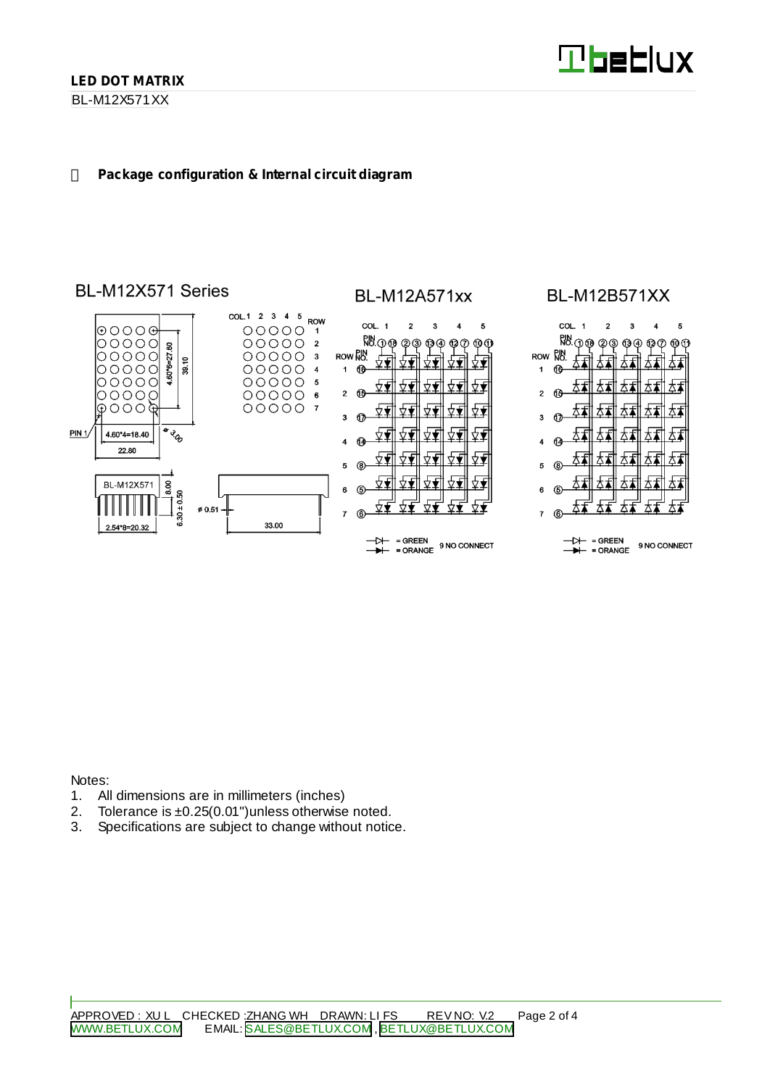BL-M12X571XX

#### **Package configuration & Internal circuit diagram**

# BL-M12X571 Series



# **BL-M12A571xx**



# **BL-M12B571XX**



- DH = GREEN<br>- H = ORANGE 9 NO CONNECT

Notes:

- 1. All dimensions are in millimeters (inches)
- 2. Tolerance is ±0.25(0.01")unless otherwise noted.
- 3. Specifications are subject to change without notice.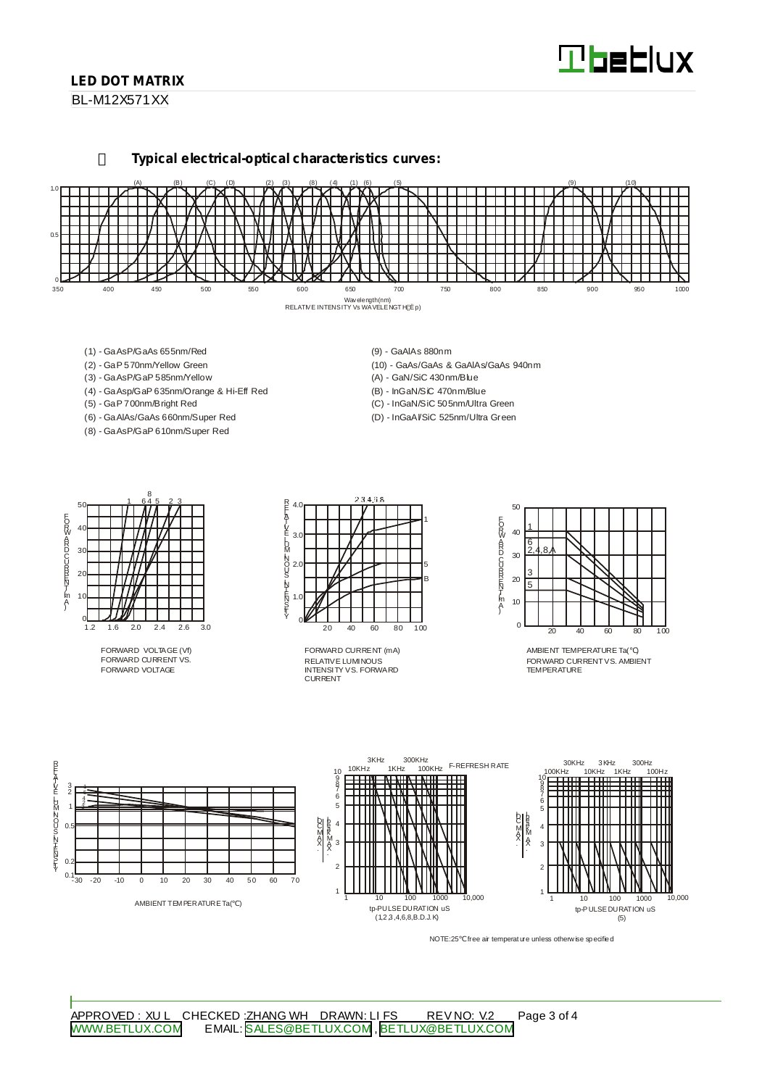# **Tbeblux**

## **LED DOT MATRIX**

BL-M12X571XX

**Typical electrical-optical characteristics curves:**



- (1) GaAsP/GaAs 655nm/Red
- (2) GaP 570nm/Yellow Green
- (3) GaAsP/GaP 585nm/Yellow
- (4) GaAsp/GaP 635nm/Orange & Hi-Eff Red
- (5) GaP 700nm/Bright Red
- (6) GaAlAs/GaAs 660nm/Super Red (8) - GaAsP/GaP 610nm/Super Red
- (9) GaAlAs 880nm
- (10) GaAs/GaAs & GaAlAs/GaAs 940nm (A) - GaN/SiC 430nm/Blue
- (B) InGaN/SiC 470nm/Blue
- (C) InGaN/SiC 505nm/Ultra Green
- (D) InGaAl/SiC 525nm/Ultra Green



FORWARD VOLTAGE (Vf) FORWARD CURRENT VS. FORWARD VOLTAGE



RELATIVE LUMINOUS INTENSITY VS. FORWARD CURRENT FORWARD CURRENT (mA)



AMBIENT TEMPERATURE Ta( ) FORWARD CURRENTVS. AMBIENT TEMPERATURE



NOTE:25 free air temperature unless otherwise specified